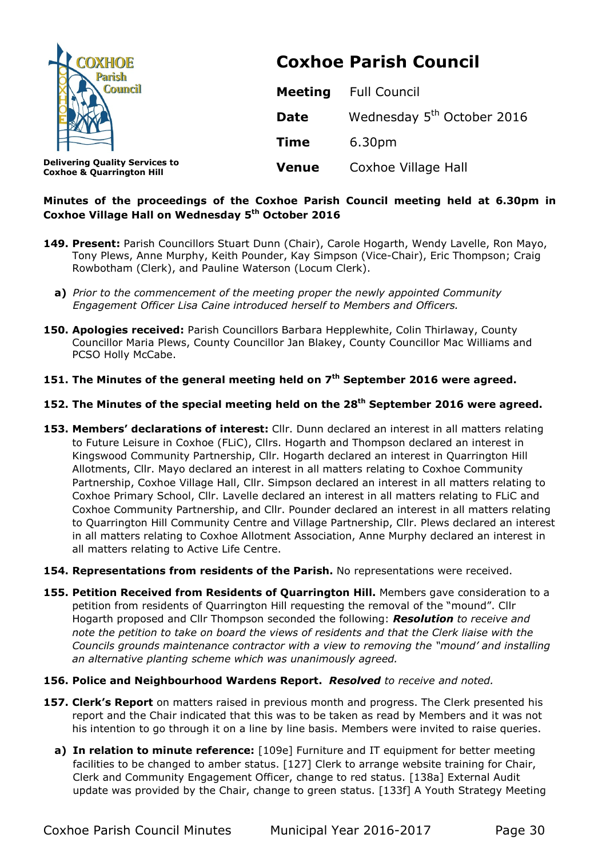| <b>COXHOE</b><br>Parish<br><b>Council</b>                                     | <b>Coxhoe Parish Council</b> |                                        |
|-------------------------------------------------------------------------------|------------------------------|----------------------------------------|
|                                                                               | <b>Meeting</b>               | <b>Full Council</b>                    |
|                                                                               | <b>Date</b>                  | Wednesday 5 <sup>th</sup> October 2016 |
|                                                                               | <b>Time</b>                  | 6.30pm                                 |
| <b>Delivering Quality Services to</b><br><b>Coxhoe &amp; Quarrington Hill</b> | <b>Venue</b>                 | Coxhoe Village Hall                    |

# **Minutes of the proceedings of the Coxhoe Parish Council meeting held at 6.30pm in Coxhoe Village Hall on Wednesday 5th October 2016**

- **149. Present:** Parish Councillors Stuart Dunn (Chair), Carole Hogarth, Wendy Lavelle, Ron Mayo, Tony Plews, Anne Murphy, Keith Pounder, Kay Simpson (Vice-Chair), Eric Thompson; Craig Rowbotham (Clerk), and Pauline Waterson (Locum Clerk).
	- **a)** *Prior to the commencement of the meeting proper the newly appointed Community Engagement Officer Lisa Caine introduced herself to Members and Officers.*
- 150. Apologies received: Parish Councillors Barbara Hepplewhite, Colin Thirlaway, County Councillor Maria Plews, County Councillor Jan Blakey, County Councillor Mac Williams and PCSO Holly McCabe.

# **151. The Minutes of the general meeting held on 7th September 2016 were agreed.**

### **152. The Minutes of the special meeting held on the 28th September 2016 were agreed.**

- 153. Members' declarations of interest: Cllr. Dunn declared an interest in all matters relating to Future Leisure in Coxhoe (FLiC), Cllrs. Hogarth and Thompson declared an interest in Kingswood Community Partnership, Cllr. Hogarth declared an interest in Quarrington Hill Allotments, Cllr. Mayo declared an interest in all matters relating to Coxhoe Community Partnership, Coxhoe Village Hall, Cllr. Simpson declared an interest in all matters relating to Coxhoe Primary School, Cllr. Lavelle declared an interest in all matters relating to FLiC and Coxhoe Community Partnership, and Cllr. Pounder declared an interest in all matters relating to Quarrington Hill Community Centre and Village Partnership, Cllr. Plews declared an interest in all matters relating to Coxhoe Allotment Association, Anne Murphy declared an interest in all matters relating to Active Life Centre.
- **154. Representations from residents of the Parish.** No representations were received.
- **155. Petition Received from Residents of Quarrington Hill.** Members gave consideration to a petition from residents of Quarrington Hill requesting the removal of the "mound". Cllr Hogarth proposed and Cllr Thompson seconded the following: *Resolution to receive and note the petition to take on board the views of residents and that the Clerk liaise with the Councils grounds maintenance contractor with a view to removing the "mound' and installing an alternative planting scheme which was unanimously agreed.*
- **156. Police and Neighbourhood Wardens Report.** *Resolved to receive and noted.*
- **157. Clerk's Report** on matters raised in previous month and progress. The Clerk presented his report and the Chair indicated that this was to be taken as read by Members and it was not his intention to go through it on a line by line basis. Members were invited to raise queries.
	- **a) In relation to minute reference:** [109e] Furniture and IT equipment for better meeting facilities to be changed to amber status. [127] Clerk to arrange website training for Chair, Clerk and Community Engagement Officer, change to red status. [138a] External Audit update was provided by the Chair, change to green status. [133f] A Youth Strategy Meeting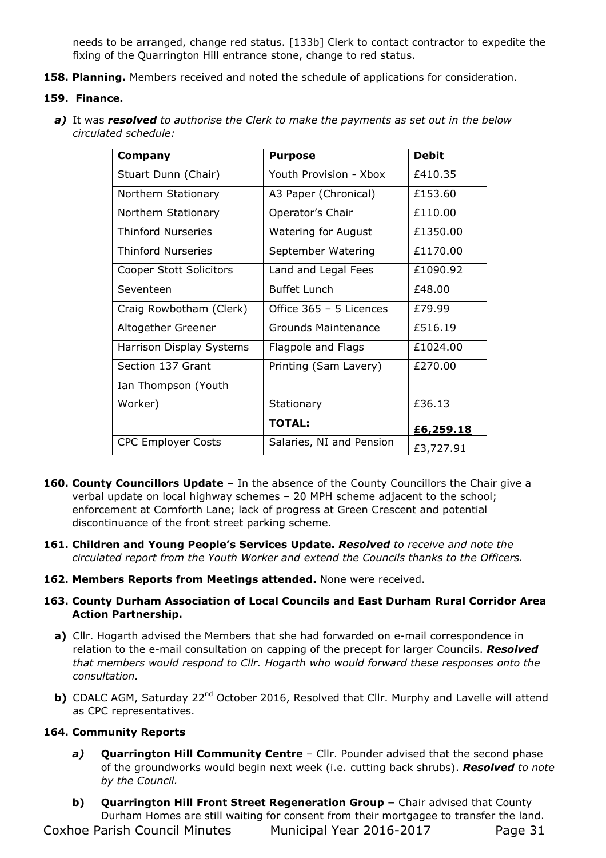needs to be arranged, change red status. [133b] Clerk to contact contractor to expedite the fixing of the Quarrington Hill entrance stone, change to red status.

**158. Planning.** Members received and noted the schedule of applications for consideration.

### **159. Finance.**

*a)* It was *resolved to authorise the Clerk to make the payments as set out in the below circulated schedule:* 

| Company                   | <b>Purpose</b>             | <b>Debit</b> |
|---------------------------|----------------------------|--------------|
| Stuart Dunn (Chair)       | Youth Provision - Xbox     | £410.35      |
| Northern Stationary       | A3 Paper (Chronical)       | £153.60      |
| Northern Stationary       | Operator's Chair           | £110.00      |
| Thinford Nurseries        | <b>Watering for August</b> | £1350.00     |
| <b>Thinford Nurseries</b> | September Watering         | £1170.00     |
| Cooper Stott Solicitors   | Land and Legal Fees        | £1090.92     |
| Seventeen                 | <b>Buffet Lunch</b>        | £48.00       |
| Craig Rowbotham (Clerk)   | Office 365 - 5 Licences    | £79.99       |
| Altogether Greener        | <b>Grounds Maintenance</b> | £516.19      |
| Harrison Display Systems  | Flagpole and Flags         | £1024.00     |
| Section 137 Grant         | Printing (Sam Lavery)      | £270.00      |
| Ian Thompson (Youth       |                            |              |
| Worker)                   | Stationary                 | £36.13       |
|                           | <b>TOTAL:</b>              | £6,259.18    |
| <b>CPC Employer Costs</b> | Salaries, NI and Pension   | £3,727.91    |

- **160. County Councillors Update** In the absence of the County Councillors the Chair give a verbal update on local highway schemes – 20 MPH scheme adjacent to the school; enforcement at Cornforth Lane; lack of progress at Green Crescent and potential discontinuance of the front street parking scheme.
- **161. Children and Young People's Services Update.** *Resolved to receive and note the circulated report from the Youth Worker and extend the Councils thanks to the Officers.*
- **162. Members Reports from Meetings attended.** None were received.

### **163. County Durham Association of Local Councils and East Durham Rural Corridor Area Action Partnership.**

- **a)** Cllr. Hogarth advised the Members that she had forwarded on e-mail correspondence in relation to the e-mail consultation on capping of the precept for larger Councils. *Resolved that members would respond to Cllr. Hogarth who would forward these responses onto the consultation.*
- **b)** CDALC AGM, Saturday 22<sup>nd</sup> October 2016, Resolved that Cllr. Murphy and Lavelle will attend as CPC representatives.

### **164. Community Reports**

- *a)* **Quarrington Hill Community Centre**  Cllr. Pounder advised that the second phase of the groundworks would begin next week (i.e. cutting back shrubs). *Resolved to note by the Council.*
- Coxhoe Parish Council Minutes Municipal Year 2016-2017 Page 31 **b) Quarrington Hill Front Street Regeneration Group –** Chair advised that County Durham Homes are still waiting for consent from their mortgagee to transfer the land.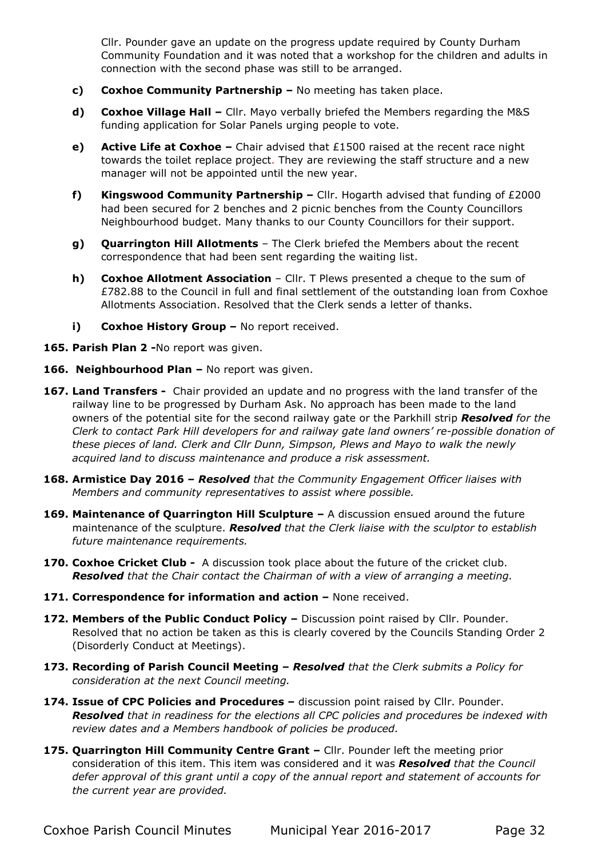Cllr. Pounder gave an update on the progress update required by County Durham Community Foundation and it was noted that a workshop for the children and adults in connection with the second phase was still to be arranged.

- **c) Coxhoe Community Partnership** No meeting has taken place.
- **d) Coxhoe Village Hall –** Cllr. Mayo verbally briefed the Members regarding the M&S funding application for Solar Panels urging people to vote.
- **e) Active Life at Coxhoe** Chair advised that £1500 raised at the recent race night towards the toilet replace project. They are reviewing the staff structure and a new manager will not be appointed until the new year.
- **f) Kingswood Community Partnership** Cllr. Hogarth advised that funding of £2000 had been secured for 2 benches and 2 picnic benches from the County Councillors Neighbourhood budget. Many thanks to our County Councillors for their support.
- **g) Quarrington Hill Allotments**  The Clerk briefed the Members about the recent correspondence that had been sent regarding the waiting list.
- **h) Coxhoe Allotment Association** Cllr. T Plews presented a cheque to the sum of £782.88 to the Council in full and final settlement of the outstanding loan from Coxhoe Allotments Association. Resolved that the Clerk sends a letter of thanks.
- **i) Coxhoe History Group No report received.**
- **165. Parish Plan 2 -**No report was given.
- 166. Neighbourhood Plan No report was given.
- **167. Land Transfers -** Chair provided an update and no progress with the land transfer of the railway line to be progressed by Durham Ask. No approach has been made to the land owners of the potential site for the second railway gate or the Parkhill strip *Resolved for the Clerk to contact Park Hill developers for and railway gate land owners' re-possible donation of these pieces of land. Clerk and Cllr Dunn, Simpson, Plews and Mayo to walk the newly acquired land to discuss maintenance and produce a risk assessment.*
- **168. Armistice Day 2016** *Resolved that the Community Engagement Officer liaises with Members and community representatives to assist where possible.*
- **169. Maintenance of Quarrington Hill Sculpture** A discussion ensued around the future maintenance of the sculpture. *Resolved that the Clerk liaise with the sculptor to establish future maintenance requirements.*
- **170. Coxhoe Cricket Club** A discussion took place about the future of the cricket club. *Resolved that the Chair contact the Chairman of with a view of arranging a meeting.*
- **171. Correspondence for information and action** None received.
- 172. Members of the Public Conduct Policy Discussion point raised by Cllr. Pounder. Resolved that no action be taken as this is clearly covered by the Councils Standing Order 2 (Disorderly Conduct at Meetings).
- **173. Recording of Parish Council Meeting** *Resolved that the Clerk submits a Policy for consideration at the next Council meeting.*
- **174. Issue of CPC Policies and Procedures** discussion point raised by Cllr. Pounder. *Resolved that in readiness for the elections all CPC policies and procedures be indexed with review dates and a Members handbook of policies be produced.*
- **175. Quarrington Hill Community Centre Grant** Cllr. Pounder left the meeting prior consideration of this item. This item was considered and it was *Resolved that the Council defer approval of this grant until a copy of the annual report and statement of accounts for the current year are provided.*